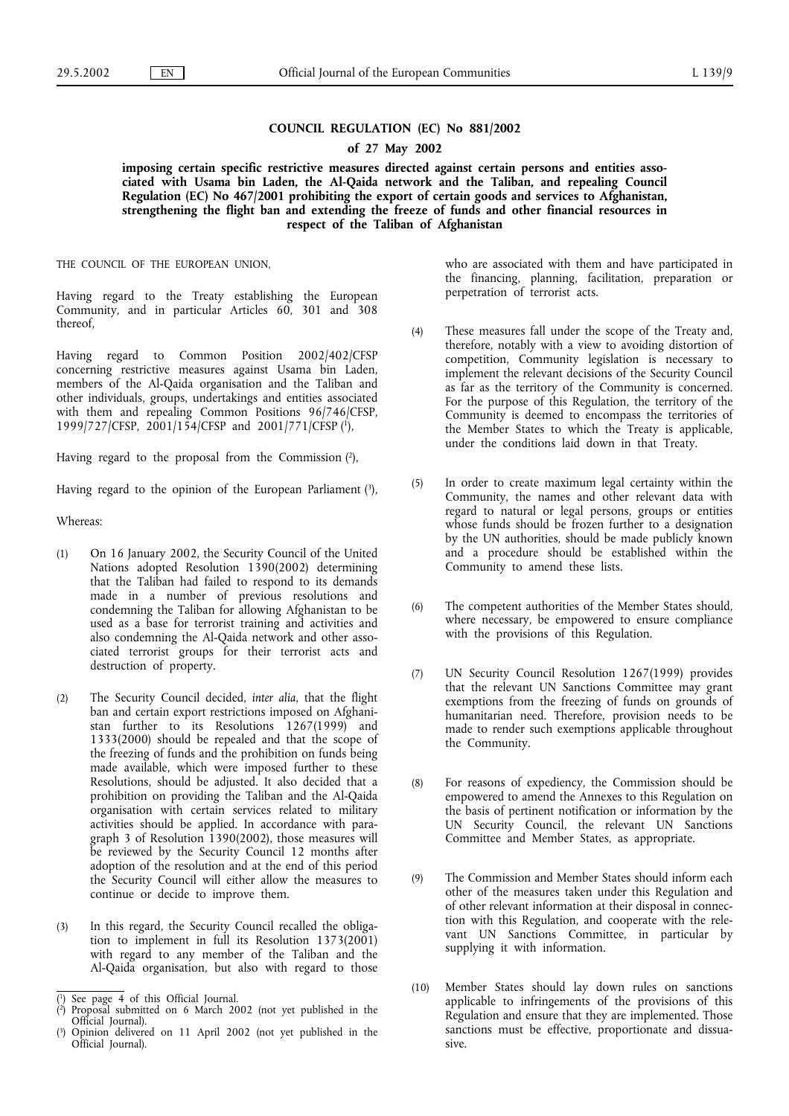# **COUNCIL REGULATION (EC) No 881/2002**

# **of 27 May 2002**

**imposing certain specific restrictive measures directed against certain persons and entities associated with Usama bin Laden, the Al-Qaida network and the Taliban, and repealing Council Regulation (EC) No 467/2001 prohibiting the export of certain goods and services to Afghanistan, strengthening the flight ban and extending the freeze of funds and other financial resources in respect of the Taliban of Afghanistan**

THE COUNCIL OF THE EUROPEAN UNION,

Having regard to the Treaty establishing the European Community, and in particular Articles 60, 301 and 308 thereof,

Having regard to Common Position 2002/402/CFSP concerning restrictive measures against Usama bin Laden, members of the Al-Qaida organisation and the Taliban and other individuals, groups, undertakings and entities associated with them and repealing Common Positions 96/746/CFSP, 1999/727/CFSP, 2001/154/CFSP and 2001/771/CFSP (1),

Having regard to the proposal from the Commission  $(2)$ ,

Having regard to the opinion of the European Parliament  $(3)$ ,

Whereas:

- (1) On 16 January 2002, the Security Council of the United Nations adopted Resolution 1390(2002) determining that the Taliban had failed to respond to its demands made in a number of previous resolutions and condemning the Taliban for allowing Afghanistan to be used as a base for terrorist training and activities and also condemning the Al-Qaida network and other associated terrorist groups for their terrorist acts and destruction of property.
- (2) The Security Council decided, *inter alia*, that the flight ban and certain export restrictions imposed on Afghanistan further to its Resolutions 1267(1999) and 1333(2000) should be repealed and that the scope of the freezing of funds and the prohibition on funds being made available, which were imposed further to these Resolutions, should be adjusted. It also decided that a prohibition on providing the Taliban and the Al-Qaida organisation with certain services related to military activities should be applied. In accordance with paragraph 3 of Resolution 1390(2002), those measures will be reviewed by the Security Council 12 months after adoption of the resolution and at the end of this period the Security Council will either allow the measures to continue or decide to improve them.
- (3) In this regard, the Security Council recalled the obligation to implement in full its Resolution 1373(2001) with regard to any member of the Taliban and the Al-Qaida organisation, but also with regard to those

who are associated with them and have participated in the financing, planning, facilitation, preparation or perpetration of terrorist acts.

- (4) These measures fall under the scope of the Treaty and, therefore, notably with a view to avoiding distortion of competition, Community legislation is necessary to implement the relevant decisions of the Security Council as far as the territory of the Community is concerned. For the purpose of this Regulation, the territory of the Community is deemed to encompass the territories of the Member States to which the Treaty is applicable, under the conditions laid down in that Treaty.
- (5) In order to create maximum legal certainty within the Community, the names and other relevant data with regard to natural or legal persons, groups or entities whose funds should be frozen further to a designation by the UN authorities, should be made publicly known and a procedure should be established within the Community to amend these lists.
- (6) The competent authorities of the Member States should, where necessary, be empowered to ensure compliance with the provisions of this Regulation.
- (7) UN Security Council Resolution 1267(1999) provides that the relevant UN Sanctions Committee may grant exemptions from the freezing of funds on grounds of humanitarian need. Therefore, provision needs to be made to render such exemptions applicable throughout the Community.
- (8) For reasons of expediency, the Commission should be empowered to amend the Annexes to this Regulation on the basis of pertinent notification or information by the UN Security Council, the relevant UN Sanctions Committee and Member States, as appropriate.
- (9) The Commission and Member States should inform each other of the measures taken under this Regulation and of other relevant information at their disposal in connection with this Regulation, and cooperate with the relevant UN Sanctions Committee, in particular by supplying it with information.
- (10) Member States should lay down rules on sanctions applicable to infringements of the provisions of this Regulation and ensure that they are implemented. Those sanctions must be effective, proportionate and dissuasive.

<sup>(</sup> 1) See page 4 of this Official Journal.

<sup>(</sup> 2) Proposal submitted on 6 March 2002 (not yet published in the Official Journal).

<sup>(</sup> 3) Opinion delivered on 11 April 2002 (not yet published in the Official Journal).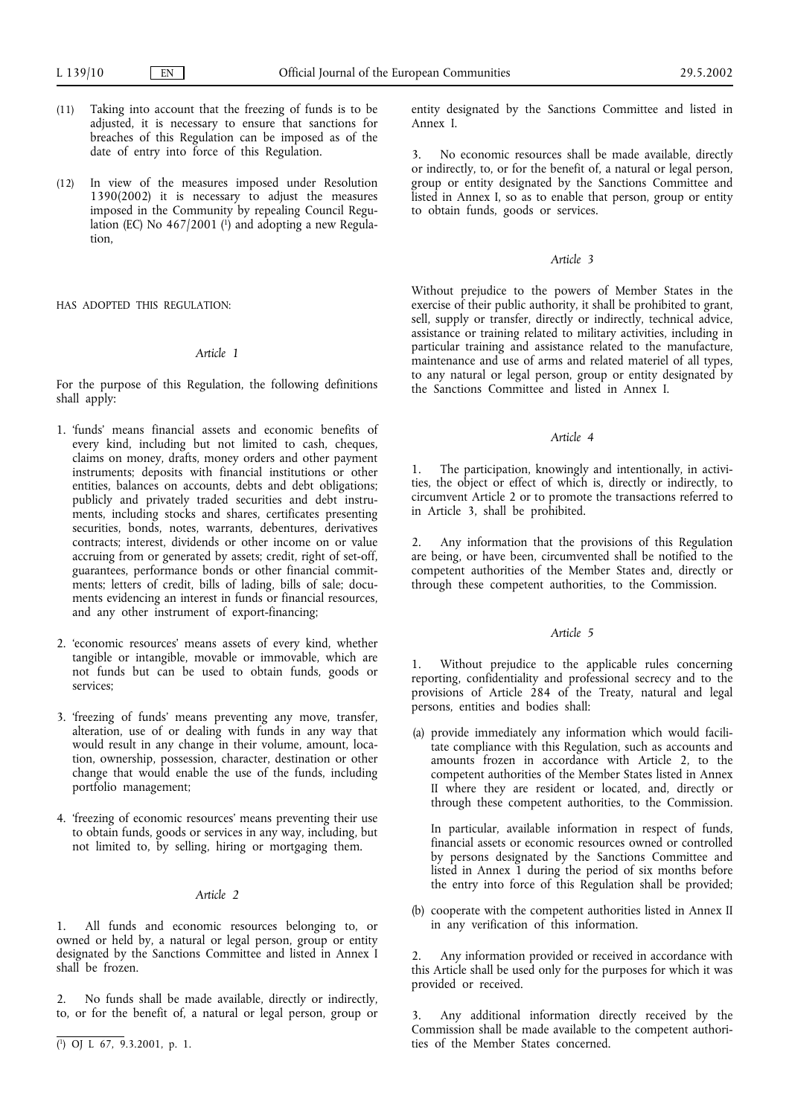- (11) Taking into account that the freezing of funds is to be adjusted, it is necessary to ensure that sanctions for breaches of this Regulation can be imposed as of the date of entry into force of this Regulation.
- (12) In view of the measures imposed under Resolution 1390(2002) it is necessary to adjust the measures imposed in the Community by repealing Council Regulation (EC) No  $467/2001$  (<sup>1</sup>) and adopting a new Regulation,

# HAS ADOPTED THIS REGULATION:

### *Article 1*

For the purpose of this Regulation, the following definitions shall apply:

- 1. 'funds' means financial assets and economic benefits of every kind, including but not limited to cash, cheques, claims on money, drafts, money orders and other payment instruments; deposits with financial institutions or other entities, balances on accounts, debts and debt obligations; publicly and privately traded securities and debt instruments, including stocks and shares, certificates presenting securities, bonds, notes, warrants, debentures, derivatives contracts; interest, dividends or other income on or value accruing from or generated by assets; credit, right of set-off, guarantees, performance bonds or other financial commitments; letters of credit, bills of lading, bills of sale; documents evidencing an interest in funds or financial resources, and any other instrument of export-financing;
- 2. 'economic resources' means assets of every kind, whether tangible or intangible, movable or immovable, which are not funds but can be used to obtain funds, goods or services;
- 3. 'freezing of funds' means preventing any move, transfer, alteration, use of or dealing with funds in any way that would result in any change in their volume, amount, location, ownership, possession, character, destination or other change that would enable the use of the funds, including portfolio management;
- 4. 'freezing of economic resources' means preventing their use to obtain funds, goods or services in any way, including, but not limited to, by selling, hiring or mortgaging them.

## *Article 2*

All funds and economic resources belonging to, or owned or held by, a natural or legal person, group or entity designated by the Sanctions Committee and listed in Annex I shall be frozen.

2. No funds shall be made available, directly or indirectly, to, or for the benefit of, a natural or legal person, group or entity designated by the Sanctions Committee and listed in Annex I.

No economic resources shall be made available, directly or indirectly, to, or for the benefit of, a natural or legal person, group or entity designated by the Sanctions Committee and listed in Annex I, so as to enable that person, group or entity to obtain funds, goods or services.

### *Article 3*

Without prejudice to the powers of Member States in the exercise of their public authority, it shall be prohibited to grant, sell, supply or transfer, directly or indirectly, technical advice, assistance or training related to military activities, including in particular training and assistance related to the manufacture, maintenance and use of arms and related materiel of all types, to any natural or legal person, group or entity designated by the Sanctions Committee and listed in Annex I.

### *Article 4*

1. The participation, knowingly and intentionally, in activities, the object or effect of which is, directly or indirectly, to circumvent Article 2 or to promote the transactions referred to in Article 3, shall be prohibited.

2. Any information that the provisions of this Regulation are being, or have been, circumvented shall be notified to the competent authorities of the Member States and, directly or through these competent authorities, to the Commission.

# *Article 5*

1. Without prejudice to the applicable rules concerning reporting, confidentiality and professional secrecy and to the provisions of Article 284 of the Treaty, natural and legal persons, entities and bodies shall:

(a) provide immediately any information which would facilitate compliance with this Regulation, such as accounts and amounts frozen in accordance with Article 2, to the competent authorities of the Member States listed in Annex II where they are resident or located, and, directly or through these competent authorities, to the Commission.

In particular, available information in respect of funds, financial assets or economic resources owned or controlled by persons designated by the Sanctions Committee and listed in Annex 1 during the period of six months before the entry into force of this Regulation shall be provided;

(b) cooperate with the competent authorities listed in Annex II in any verification of this information.

Any information provided or received in accordance with this Article shall be used only for the purposes for which it was provided or received.

3. Any additional information directly received by the Commission shall be made available to the competent authori- ( $\overline{1}$ ) OJ L 67, 9.3.2001, p. 1. ties of the Member States concerned.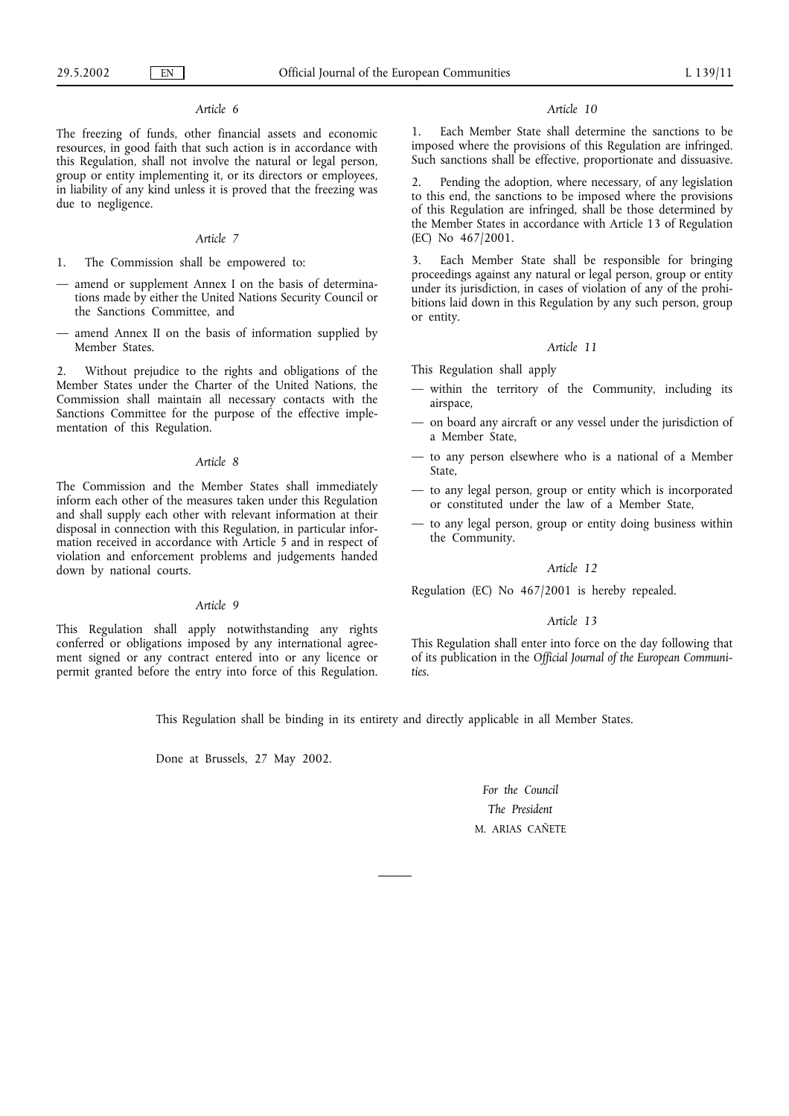# *Article 6*

The freezing of funds, other financial assets and economic resources, in good faith that such action is in accordance with this Regulation, shall not involve the natural or legal person, group or entity implementing it, or its directors or employees, in liability of any kind unless it is proved that the freezing was due to negligence.

# *Article 7*

- 1. The Commission shall be empowered to:
- amend or supplement Annex I on the basis of determinations made by either the United Nations Security Council or the Sanctions Committee, and
- amend Annex II on the basis of information supplied by Member States.

Without prejudice to the rights and obligations of the Member States under the Charter of the United Nations, the Commission shall maintain all necessary contacts with the Sanctions Committee for the purpose of the effective implementation of this Regulation.

### *Article 8*

The Commission and the Member States shall immediately inform each other of the measures taken under this Regulation and shall supply each other with relevant information at their disposal in connection with this Regulation, in particular information received in accordance with Article 5 and in respect of violation and enforcement problems and judgements handed down by national courts.

# *Article 9*

This Regulation shall apply notwithstanding any rights conferred or obligations imposed by any international agreement signed or any contract entered into or any licence or permit granted before the entry into force of this Regulation.

# *Article 10*

Each Member State shall determine the sanctions to be imposed where the provisions of this Regulation are infringed. Such sanctions shall be effective, proportionate and dissuasive.

Pending the adoption, where necessary, of any legislation to this end, the sanctions to be imposed where the provisions of this Regulation are infringed, shall be those determined by the Member States in accordance with Article 13 of Regulation (EC) No 467/2001.

3. Each Member State shall be responsible for bringing proceedings against any natural or legal person, group or entity under its jurisdiction, in cases of violation of any of the prohibitions laid down in this Regulation by any such person, group or entity.

### *Article 11*

This Regulation shall apply

- within the territory of the Community, including its airspace,
- on board any aircraft or any vessel under the jurisdiction of a Member State,
- to any person elsewhere who is a national of a Member State,
- to any legal person, group or entity which is incorporated or constituted under the law of a Member State,
- to any legal person, group or entity doing business within the Community.

### *Article 12*

Regulation (EC) No 467/2001 is hereby repealed.

### *Article 13*

This Regulation shall enter into force on the day following that of its publication in the *Official Journal of the European Communities*.

This Regulation shall be binding in its entirety and directly applicable in all Member States.

Done at Brussels, 27 May 2002.

*For the Council The President* M. ARIAS CAÑETE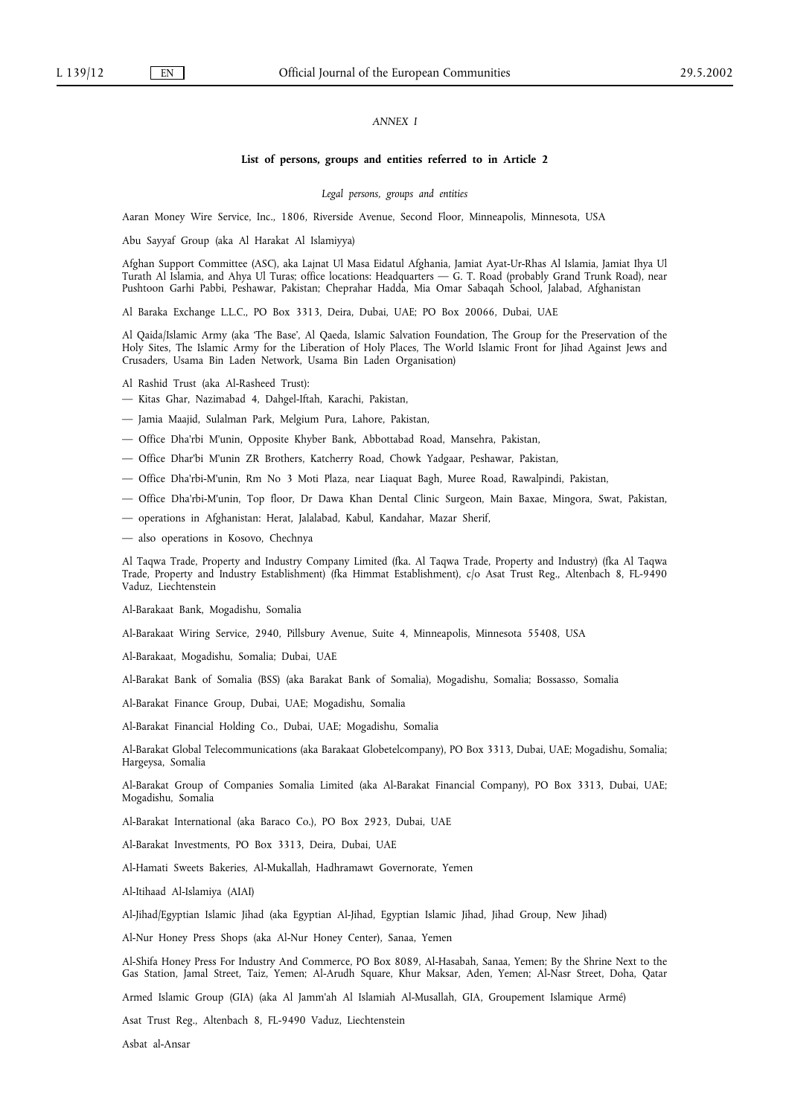## *ANNEX I*

#### **List of persons, groups and entities referred to in Article 2**

*Legal persons, groups and entities*

Aaran Money Wire Service, Inc., 1806, Riverside Avenue, Second Floor, Minneapolis, Minnesota, USA

Abu Sayyaf Group (aka Al Harakat Al Islamiyya)

Afghan Support Committee (ASC), aka Lajnat Ul Masa Eidatul Afghania, Jamiat Ayat-Ur-Rhas Al Islamia, Jamiat Ihya Ul Turath Al Islamia, and Ahya Ul Turas; office locations: Headquarters — G. T. Road (probably Grand Trunk Road), near Pushtoon Garhi Pabbi, Peshawar, Pakistan; Cheprahar Hadda, Mia Omar Sabaqah School, Jalabad, Afghanistan

Al Baraka Exchange L.L.C., PO Box 3313, Deira, Dubai, UAE; PO Box 20066, Dubai, UAE

Al Qaida/Islamic Army (aka 'The Base', Al Qaeda, Islamic Salvation Foundation, The Group for the Preservation of the Holy Sites, The Islamic Army for the Liberation of Holy Places, The World Islamic Front for Jihad Against Jews and Crusaders, Usama Bin Laden Network, Usama Bin Laden Organisation)

Al Rashid Trust (aka Al-Rasheed Trust):

— Kitas Ghar, Nazimabad 4, Dahgel-Iftah, Karachi, Pakistan,

— Jamia Maajid, Sulalman Park, Melgium Pura, Lahore, Pakistan,

— Office Dha'rbi M'unin, Opposite Khyber Bank, Abbottabad Road, Mansehra, Pakistan,

— Office Dhar'bi M'unin ZR Brothers, Katcherry Road, Chowk Yadgaar, Peshawar, Pakistan,

- Office Dha'rbi-M'unin, Rm No 3 Moti Plaza, near Liaquat Bagh, Muree Road, Rawalpindi, Pakistan,
- Office Dha'rbi-M'unin, Top floor, Dr Dawa Khan Dental Clinic Surgeon, Main Baxae, Mingora, Swat, Pakistan,
- operations in Afghanistan: Herat, Jalalabad, Kabul, Kandahar, Mazar Sherif,
- also operations in Kosovo, Chechnya

Al Taqwa Trade, Property and Industry Company Limited (fka. Al Taqwa Trade, Property and Industry) (fka Al Taqwa Trade, Property and Industry Establishment) (fka Himmat Establishment), c/o Asat Trust Reg., Altenbach 8, FL-9490 Vaduz, Liechtenstein

Al-Barakaat Bank, Mogadishu, Somalia

Al-Barakaat Wiring Service, 2940, Pillsbury Avenue, Suite 4, Minneapolis, Minnesota 55408, USA

Al-Barakaat, Mogadishu, Somalia; Dubai, UAE

Al-Barakat Bank of Somalia (BSS) (aka Barakat Bank of Somalia), Mogadishu, Somalia; Bossasso, Somalia

Al-Barakat Finance Group, Dubai, UAE; Mogadishu, Somalia

Al-Barakat Financial Holding Co., Dubai, UAE; Mogadishu, Somalia

Al-Barakat Global Telecommunications (aka Barakaat Globetelcompany), PO Box 3313, Dubai, UAE; Mogadishu, Somalia; Hargeysa, Somalia

Al-Barakat Group of Companies Somalia Limited (aka Al-Barakat Financial Company), PO Box 3313, Dubai, UAE; Mogadishu, Somalia

Al-Barakat International (aka Baraco Co.), PO Box 2923, Dubai, UAE

Al-Barakat Investments, PO Box 3313, Deira, Dubai, UAE

Al-Hamati Sweets Bakeries, Al-Mukallah, Hadhramawt Governorate, Yemen

Al-Itihaad Al-Islamiya (AIAI)

Al-Jihad/Egyptian Islamic Jihad (aka Egyptian Al-Jihad, Egyptian Islamic Jihad, Jihad Group, New Jihad)

Al-Nur Honey Press Shops (aka Al-Nur Honey Center), Sanaa, Yemen

Al-Shifa Honey Press For Industry And Commerce, PO Box 8089, Al-Hasabah, Sanaa, Yemen; By the Shrine Next to the Gas Station, Jamal Street, Taiz, Yemen; Al-Arudh Square, Khur Maksar, Aden, Yemen; Al-Nasr Street, Doha, Qatar

Armed Islamic Group (GIA) (aka Al Jamm'ah Al Islamiah Al-Musallah, GIA, Groupement Islamique Armé)

Asat Trust Reg., Altenbach 8, FL-9490 Vaduz, Liechtenstein

Asbat al-Ansar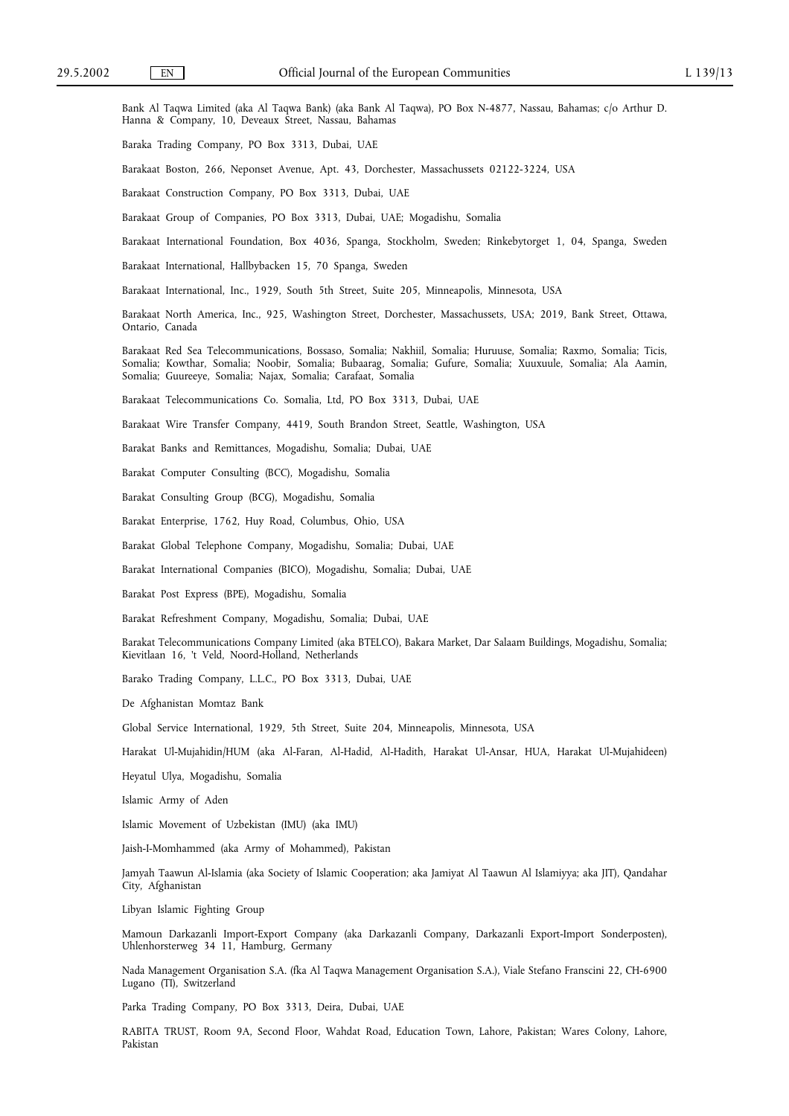Bank Al Taqwa Limited (aka Al Taqwa Bank) (aka Bank Al Taqwa), PO Box N-4877, Nassau, Bahamas; c/o Arthur D. Hanna & Company, 10, Deveaux Street, Nassau, Bahamas

Baraka Trading Company, PO Box 3313, Dubai, UAE

Barakaat Boston, 266, Neponset Avenue, Apt. 43, Dorchester, Massachussets 02122-3224, USA

Barakaat Construction Company, PO Box 3313, Dubai, UAE

Barakaat Group of Companies, PO Box 3313, Dubai, UAE; Mogadishu, Somalia

Barakaat International Foundation, Box 4036, Spanga, Stockholm, Sweden; Rinkebytorget 1, 04, Spanga, Sweden

Barakaat International, Hallbybacken 15, 70 Spanga, Sweden

Barakaat International, Inc., 1929, South 5th Street, Suite 205, Minneapolis, Minnesota, USA

Barakaat North America, Inc., 925, Washington Street, Dorchester, Massachussets, USA; 2019, Bank Street, Ottawa, Ontario, Canada

Barakaat Red Sea Telecommunications, Bossaso, Somalia; Nakhiil, Somalia; Huruuse, Somalia; Raxmo, Somalia; Ticis, Somalia; Kowthar, Somalia; Noobir, Somalia; Bubaarag, Somalia; Gufure, Somalia; Xuuxuule, Somalia; Ala Aamin, Somalia; Guureeye, Somalia; Najax, Somalia; Carafaat, Somalia

Barakaat Telecommunications Co. Somalia, Ltd, PO Box 3313, Dubai, UAE

Barakaat Wire Transfer Company, 4419, South Brandon Street, Seattle, Washington, USA

Barakat Banks and Remittances, Mogadishu, Somalia; Dubai, UAE

Barakat Computer Consulting (BCC), Mogadishu, Somalia

Barakat Consulting Group (BCG), Mogadishu, Somalia

Barakat Enterprise, 1762, Huy Road, Columbus, Ohio, USA

Barakat Global Telephone Company, Mogadishu, Somalia; Dubai, UAE

Barakat International Companies (BICO), Mogadishu, Somalia; Dubai, UAE

Barakat Post Express (BPE), Mogadishu, Somalia

Barakat Refreshment Company, Mogadishu, Somalia; Dubai, UAE

Barakat Telecommunications Company Limited (aka BTELCO), Bakara Market, Dar Salaam Buildings, Mogadishu, Somalia; Kievitlaan 16, 't Veld, Noord-Holland, Netherlands

Barako Trading Company, L.L.C., PO Box 3313, Dubai, UAE

De Afghanistan Momtaz Bank

Global Service International, 1929, 5th Street, Suite 204, Minneapolis, Minnesota, USA

Harakat Ul-Mujahidin/HUM (aka Al-Faran, Al-Hadid, Al-Hadith, Harakat Ul-Ansar, HUA, Harakat Ul-Mujahideen)

Heyatul Ulya, Mogadishu, Somalia

Islamic Army of Aden

Islamic Movement of Uzbekistan (IMU) (aka IMU)

Jaish-I-Momhammed (aka Army of Mohammed), Pakistan

Jamyah Taawun Al-Islamia (aka Society of Islamic Cooperation; aka Jamiyat Al Taawun Al Islamiyya; aka JIT), Qandahar City, Afghanistan

Libyan Islamic Fighting Group

Mamoun Darkazanli Import-Export Company (aka Darkazanli Company, Darkazanli Export-Import Sonderposten), Uhlenhorsterweg 34 11, Hamburg, Germany

Nada Management Organisation S.A. (fka Al Taqwa Management Organisation S.A.), Viale Stefano Franscini 22, CH-6900 Lugano (TI), Switzerland

Parka Trading Company, PO Box 3313, Deira, Dubai, UAE

RABITA TRUST, Room 9A, Second Floor, Wahdat Road, Education Town, Lahore, Pakistan; Wares Colony, Lahore, Pakistan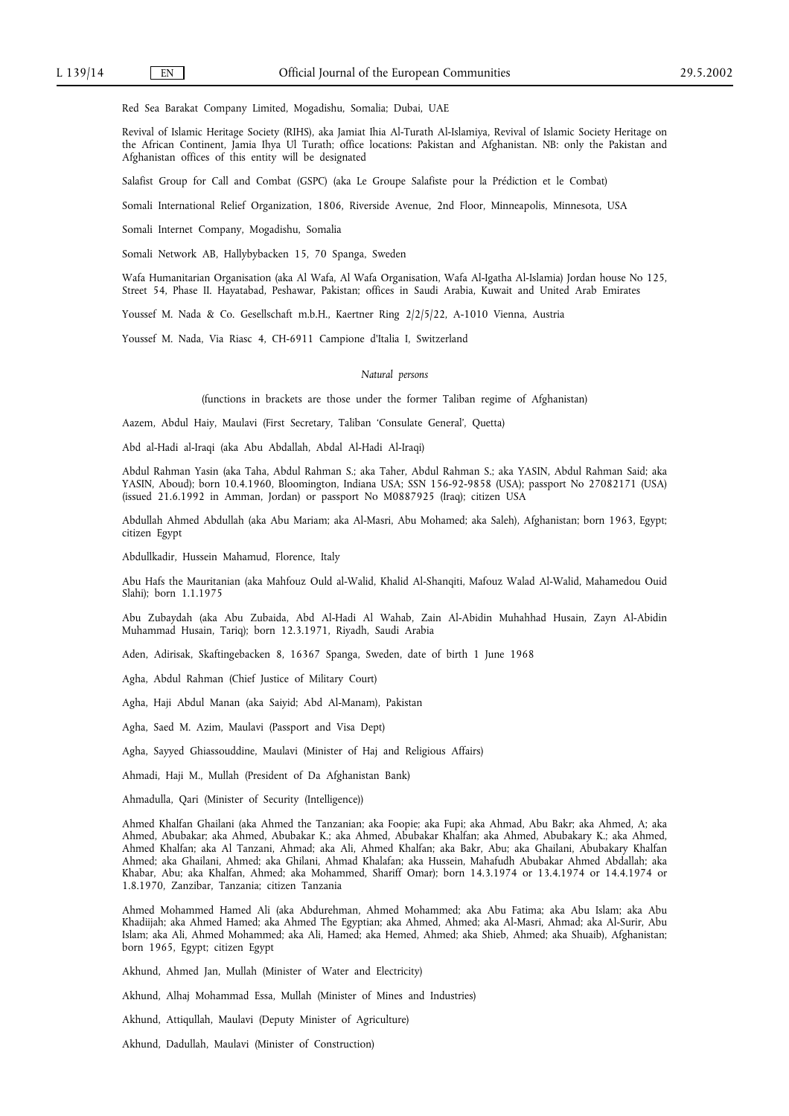Red Sea Barakat Company Limited, Mogadishu, Somalia; Dubai, UAE

Revival of Islamic Heritage Society (RIHS), aka Jamiat Ihia Al-Turath Al-Islamiya, Revival of Islamic Society Heritage on the African Continent, Jamia Ihya Ul Turath; office locations: Pakistan and Afghanistan. NB: only the Pakistan and Afghanistan offices of this entity will be designated

Salafist Group for Call and Combat (GSPC) (aka Le Groupe Salafiste pour la Prédiction et le Combat)

Somali International Relief Organization, 1806, Riverside Avenue, 2nd Floor, Minneapolis, Minnesota, USA

Somali Internet Company, Mogadishu, Somalia

Somali Network AB, Hallybybacken 15, 70 Spanga, Sweden

Wafa Humanitarian Organisation (aka Al Wafa, Al Wafa Organisation, Wafa Al-Igatha Al-Islamia) Jordan house No 125, Street 54, Phase II. Hayatabad, Peshawar, Pakistan; offices in Saudi Arabia, Kuwait and United Arab Emirates

Youssef M. Nada & Co. Gesellschaft m.b.H., Kaertner Ring 2/2/5/22, A-1010 Vienna, Austria

Youssef M. Nada, Via Riasc 4, CH-6911 Campione d'Italia I, Switzerland

#### *Natural persons*

(functions in brackets are those under the former Taliban regime of Afghanistan)

Aazem, Abdul Haiy, Maulavi (First Secretary, Taliban 'Consulate General', Quetta)

Abd al-Hadi al-Iraqi (aka Abu Abdallah, Abdal Al-Hadi Al-Iraqi)

Abdul Rahman Yasin (aka Taha, Abdul Rahman S.; aka Taher, Abdul Rahman S.; aka YASIN, Abdul Rahman Said; aka YASIN, Aboud); born 10.4.1960, Bloomington, Indiana USA; SSN 156-92-9858 (USA); passport No 27082171 (USA) (issued 21.6.1992 in Amman, Jordan) or passport No M0887925 (Iraq); citizen USA

Abdullah Ahmed Abdullah (aka Abu Mariam; aka Al-Masri, Abu Mohamed; aka Saleh), Afghanistan; born 1963, Egypt; citizen Egypt

Abdullkadir, Hussein Mahamud, Florence, Italy

Abu Hafs the Mauritanian (aka Mahfouz Ould al-Walid, Khalid Al-Shanqiti, Mafouz Walad Al-Walid, Mahamedou Ouid Slahi); born 1.1.1975

Abu Zubaydah (aka Abu Zubaida, Abd Al-Hadi Al Wahab, Zain Al-Abidin Muhahhad Husain, Zayn Al-Abidin Muhammad Husain, Tariq); born 12.3.1971, Riyadh, Saudi Arabia

Aden, Adirisak, Skaftingebacken 8, 16367 Spanga, Sweden, date of birth 1 June 1968

Agha, Abdul Rahman (Chief Justice of Military Court)

Agha, Haji Abdul Manan (aka Saiyid; Abd Al-Manam), Pakistan

Agha, Saed M. Azim, Maulavi (Passport and Visa Dept)

Agha, Sayyed Ghiassouddine, Maulavi (Minister of Haj and Religious Affairs)

Ahmadi, Haji M., Mullah (President of Da Afghanistan Bank)

Ahmadulla, Qari (Minister of Security (Intelligence))

Ahmed Khalfan Ghailani (aka Ahmed the Tanzanian; aka Foopie; aka Fupi; aka Ahmad, Abu Bakr; aka Ahmed, A; aka Ahmed, Abubakar; aka Ahmed, Abubakar K.; aka Ahmed, Abubakar Khalfan; aka Ahmed, Abubakary K.; aka Ahmed, Ahmed Khalfan; aka Al Tanzani, Ahmad; aka Ali, Ahmed Khalfan; aka Bakr, Abu; aka Ghailani, Abubakary Khalfan Ahmed; aka Ghailani, Ahmed; aka Ghilani, Ahmad Khalafan; aka Hussein, Mahafudh Abubakar Ahmed Abdallah; aka Khabar, Abu; aka Khalfan, Ahmed; aka Mohammed, Shariff Omar); born 14.3.1974 or 13.4.1974 or 14.4.1974 or 1.8.1970, Zanzibar, Tanzania; citizen Tanzania

Ahmed Mohammed Hamed Ali (aka Abdurehman, Ahmed Mohammed; aka Abu Fatima; aka Abu Islam; aka Abu Khadiijah; aka Ahmed Hamed; aka Ahmed The Egyptian; aka Ahmed, Ahmed; aka Al-Masri, Ahmad; aka Al-Surir, Abu Islam; aka Ali, Ahmed Mohammed; aka Ali, Hamed; aka Hemed, Ahmed; aka Shieb, Ahmed; aka Shuaib), Afghanistan; born 1965, Egypt; citizen Egypt

Akhund, Ahmed Jan, Mullah (Minister of Water and Electricity)

Akhund, Alhaj Mohammad Essa, Mullah (Minister of Mines and Industries)

Akhund, Attiqullah, Maulavi (Deputy Minister of Agriculture)

Akhund, Dadullah, Maulavi (Minister of Construction)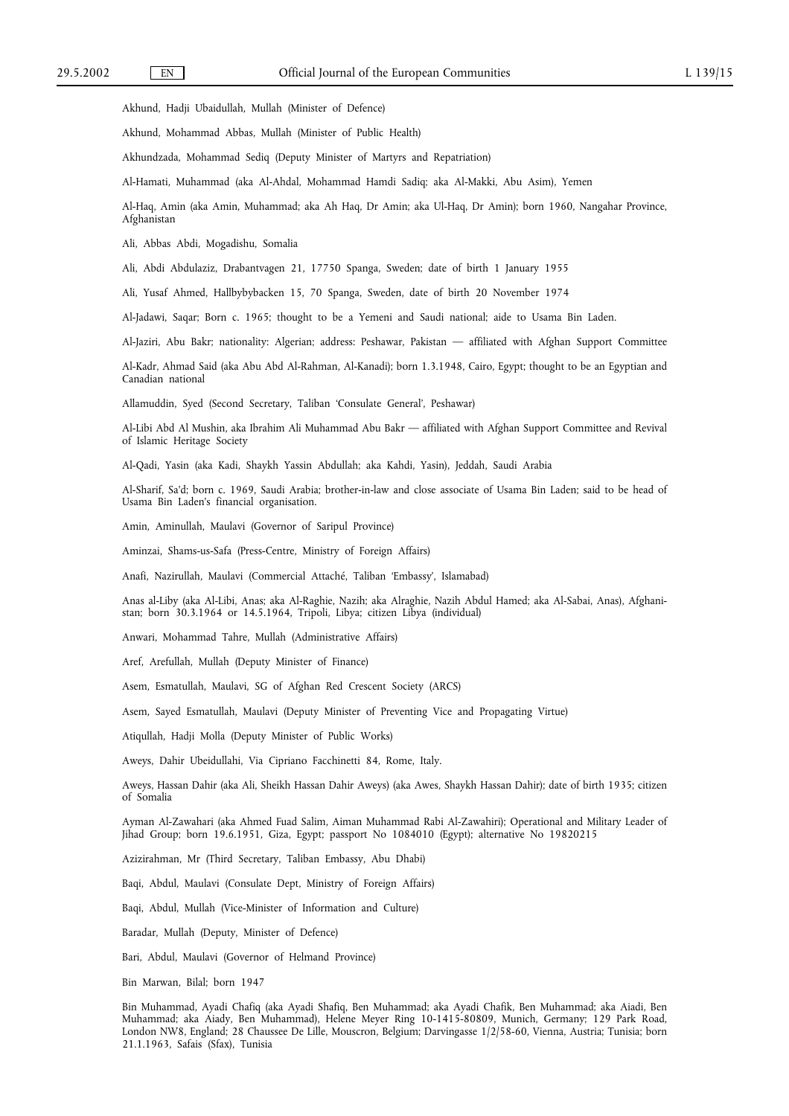Akhund, Hadji Ubaidullah, Mullah (Minister of Defence)

Akhund, Mohammad Abbas, Mullah (Minister of Public Health)

Akhundzada, Mohammad Sediq (Deputy Minister of Martyrs and Repatriation)

Al-Hamati, Muhammad (aka Al-Ahdal, Mohammad Hamdi Sadiq; aka Al-Makki, Abu Asim), Yemen

Al-Haq, Amin (aka Amin, Muhammad; aka Ah Haq, Dr Amin; aka Ul-Haq, Dr Amin); born 1960, Nangahar Province, Afghanistan

Ali, Abbas Abdi, Mogadishu, Somalia

Ali, Abdi Abdulaziz, Drabantvagen 21, 17750 Spanga, Sweden; date of birth 1 January 1955

Ali, Yusaf Ahmed, Hallbybybacken 15, 70 Spanga, Sweden, date of birth 20 November 1974

Al-Jadawi, Saqar; Born c. 1965; thought to be a Yemeni and Saudi national; aide to Usama Bin Laden.

Al-Jaziri, Abu Bakr; nationality: Algerian; address: Peshawar, Pakistan — affiliated with Afghan Support Committee

Al-Kadr, Ahmad Said (aka Abu Abd Al-Rahman, Al-Kanadi); born 1.3.1948, Cairo, Egypt; thought to be an Egyptian and Canadian national

Allamuddin, Syed (Second Secretary, Taliban 'Consulate General', Peshawar)

Al-Libi Abd Al Mushin, aka Ibrahim Ali Muhammad Abu Bakr — affiliated with Afghan Support Committee and Revival of Islamic Heritage Society

Al-Qadi, Yasin (aka Kadi, Shaykh Yassin Abdullah; aka Kahdi, Yasin), Jeddah, Saudi Arabia

Al-Sharif, Sa'd; born c. 1969, Saudi Arabia; brother-in-law and close associate of Usama Bin Laden; said to be head of Usama Bin Laden's financial organisation.

Amin, Aminullah, Maulavi (Governor of Saripul Province)

Aminzai, Shams-us-Safa (Press-Centre, Ministry of Foreign Affairs)

Anafi, Nazirullah, Maulavi (Commercial Attaché, Taliban 'Embassy', Islamabad)

Anas al-Liby (aka Al-Libi, Anas; aka Al-Raghie, Nazih; aka Alraghie, Nazih Abdul Hamed; aka Al-Sabai, Anas), Afghanistan; born 30.3.1964 or 14.5.1964, Tripoli, Libya; citizen Libya (individual)

Anwari, Mohammad Tahre, Mullah (Administrative Affairs)

Aref, Arefullah, Mullah (Deputy Minister of Finance)

Asem, Esmatullah, Maulavi, SG of Afghan Red Crescent Society (ARCS)

Asem, Sayed Esmatullah, Maulavi (Deputy Minister of Preventing Vice and Propagating Virtue)

Atiqullah, Hadji Molla (Deputy Minister of Public Works)

Aweys, Dahir Ubeidullahi, Via Cipriano Facchinetti 84, Rome, Italy.

Aweys, Hassan Dahir (aka Ali, Sheikh Hassan Dahir Aweys) (aka Awes, Shaykh Hassan Dahir); date of birth 1935; citizen of Somalia

Ayman Al-Zawahari (aka Ahmed Fuad Salim, Aiman Muhammad Rabi Al-Zawahiri); Operational and Military Leader of Jihad Group; born 19.6.1951, Giza, Egypt; passport No 1084010 (Egypt); alternative No 19820215

Azizirahman, Mr (Third Secretary, Taliban Embassy, Abu Dhabi)

Baqi, Abdul, Maulavi (Consulate Dept, Ministry of Foreign Affairs)

Baqi, Abdul, Mullah (Vice-Minister of Information and Culture)

Baradar, Mullah (Deputy, Minister of Defence)

Bari, Abdul, Maulavi (Governor of Helmand Province)

Bin Marwan, Bilal; born 1947

Bin Muhammad, Ayadi Chafiq (aka Ayadi Shafiq, Ben Muhammad; aka Ayadi Chafik, Ben Muhammad; aka Aiadi, Ben Muhammad; aka Aiady, Ben Muhammad), Helene Meyer Ring 10-1415-80809, Munich, Germany; 129 Park Road, London NW8, England; 28 Chaussee De Lille, Mouscron, Belgium; Darvingasse 1/2/58-60, Vienna, Austria; Tunisia; born 21.1.1963, Safais (Sfax), Tunisia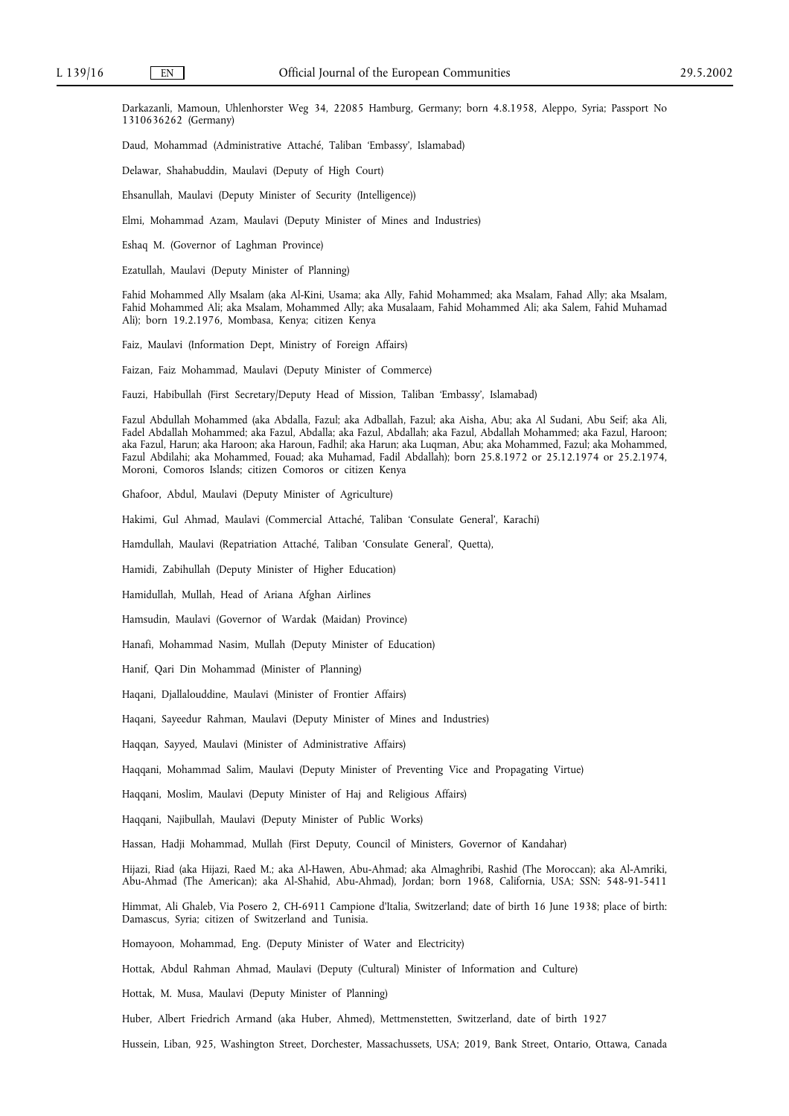Darkazanli, Mamoun, Uhlenhorster Weg 34, 22085 Hamburg, Germany; born 4.8.1958, Aleppo, Syria; Passport No 1310636262 (Germany)

Daud, Mohammad (Administrative Attaché, Taliban 'Embassy', Islamabad)

Delawar, Shahabuddin, Maulavi (Deputy of High Court)

Ehsanullah, Maulavi (Deputy Minister of Security (Intelligence))

Elmi, Mohammad Azam, Maulavi (Deputy Minister of Mines and Industries)

Eshaq M. (Governor of Laghman Province)

Ezatullah, Maulavi (Deputy Minister of Planning)

Fahid Mohammed Ally Msalam (aka Al-Kini, Usama; aka Ally, Fahid Mohammed; aka Msalam, Fahad Ally; aka Msalam, Fahid Mohammed Ali; aka Msalam, Mohammed Ally; aka Musalaam, Fahid Mohammed Ali; aka Salem, Fahid Muhamad Ali); born 19.2.1976, Mombasa, Kenya; citizen Kenya

Faiz, Maulavi (Information Dept, Ministry of Foreign Affairs)

Faizan, Faiz Mohammad, Maulavi (Deputy Minister of Commerce)

Fauzi, Habibullah (First Secretary/Deputy Head of Mission, Taliban 'Embassy', Islamabad)

Fazul Abdullah Mohammed (aka Abdalla, Fazul; aka Adballah, Fazul; aka Aisha, Abu; aka Al Sudani, Abu Seif; aka Ali, Fadel Abdallah Mohammed; aka Fazul, Abdalla; aka Fazul, Abdallah; aka Fazul, Abdallah Mohammed; aka Fazul, Haroon; aka Fazul, Harun; aka Haroon; aka Haroun, Fadhil; aka Harun; aka Luqman, Abu; aka Mohammed, Fazul; aka Mohammed, Fazul Abdilahi; aka Mohammed, Fouad; aka Muhamad, Fadil Abdallah); born 25.8.1972 or 25.12.1974 or 25.2.1974, Moroni, Comoros Islands; citizen Comoros or citizen Kenya

Ghafoor, Abdul, Maulavi (Deputy Minister of Agriculture)

Hakimi, Gul Ahmad, Maulavi (Commercial Attaché, Taliban 'Consulate General', Karachi)

Hamdullah, Maulavi (Repatriation Attaché, Taliban 'Consulate General', Quetta),

Hamidi, Zabihullah (Deputy Minister of Higher Education)

Hamidullah, Mullah, Head of Ariana Afghan Airlines

Hamsudin, Maulavi (Governor of Wardak (Maidan) Province)

Hanafi, Mohammad Nasim, Mullah (Deputy Minister of Education)

Hanif, Qari Din Mohammad (Minister of Planning)

Haqani, Djallalouddine, Maulavi (Minister of Frontier Affairs)

Haqani, Sayeedur Rahman, Maulavi (Deputy Minister of Mines and Industries)

Haqqan, Sayyed, Maulavi (Minister of Administrative Affairs)

Haqqani, Mohammad Salim, Maulavi (Deputy Minister of Preventing Vice and Propagating Virtue)

Haqqani, Moslim, Maulavi (Deputy Minister of Haj and Religious Affairs)

Haqqani, Najibullah, Maulavi (Deputy Minister of Public Works)

Hassan, Hadji Mohammad, Mullah (First Deputy, Council of Ministers, Governor of Kandahar)

Hijazi, Riad (aka Hijazi, Raed M.; aka Al-Hawen, Abu-Ahmad; aka Almaghribi, Rashid (The Moroccan); aka Al-Amriki, Abu-Ahmad (The American); aka Al-Shahid, Abu-Ahmad), Jordan; born 1968, California, USA; SSN: 548-91-5411

Himmat, Ali Ghaleb, Via Posero 2, CH-6911 Campione d'Italia, Switzerland; date of birth 16 June 1938; place of birth: Damascus, Syria; citizen of Switzerland and Tunisia.

Homayoon, Mohammad, Eng. (Deputy Minister of Water and Electricity)

Hottak, Abdul Rahman Ahmad, Maulavi (Deputy (Cultural) Minister of Information and Culture)

Hottak, M. Musa, Maulavi (Deputy Minister of Planning)

Huber, Albert Friedrich Armand (aka Huber, Ahmed), Mettmenstetten, Switzerland, date of birth 1927

Hussein, Liban, 925, Washington Street, Dorchester, Massachussets, USA; 2019, Bank Street, Ontario, Ottawa, Canada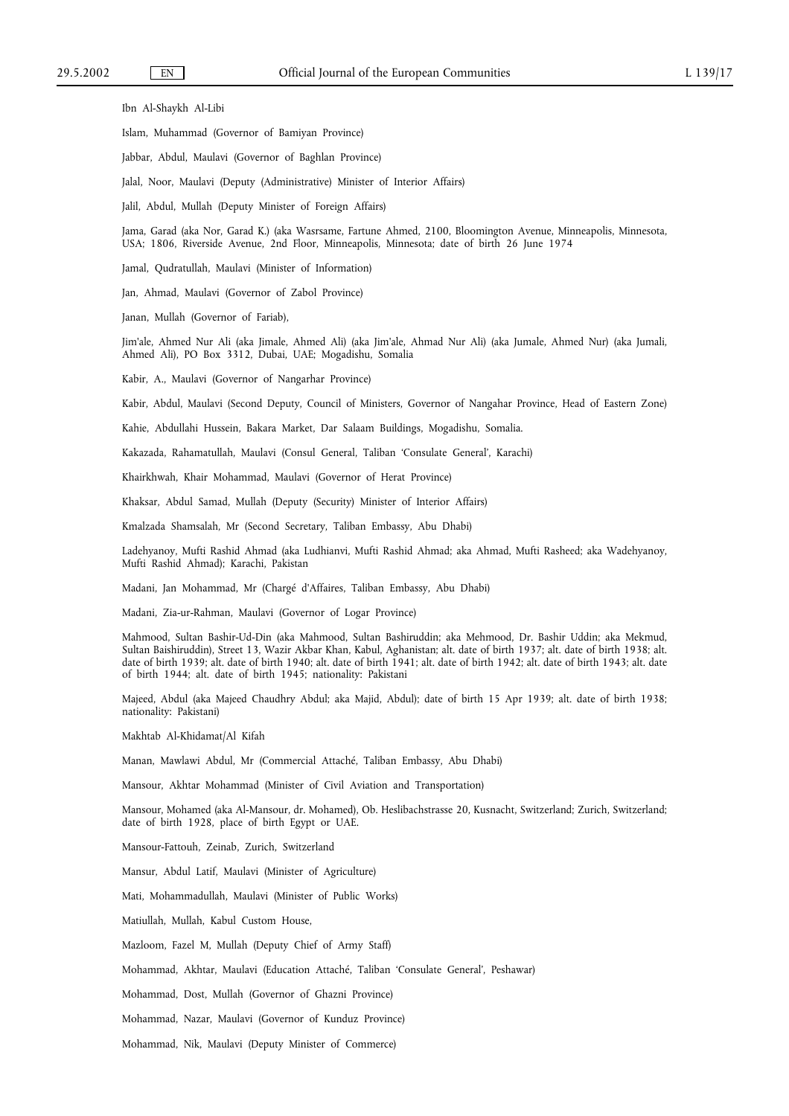Ibn Al-Shaykh Al-Libi

- Islam, Muhammad (Governor of Bamiyan Province)
- Jabbar, Abdul, Maulavi (Governor of Baghlan Province)

Jalal, Noor, Maulavi (Deputy (Administrative) Minister of Interior Affairs)

Jalil, Abdul, Mullah (Deputy Minister of Foreign Affairs)

Jama, Garad (aka Nor, Garad K.) (aka Wasrsame, Fartune Ahmed, 2100, Bloomington Avenue, Minneapolis, Minnesota, USA; 1806, Riverside Avenue, 2nd Floor, Minneapolis, Minnesota; date of birth 26 June 1974

Jamal, Qudratullah, Maulavi (Minister of Information)

Jan, Ahmad, Maulavi (Governor of Zabol Province)

Janan, Mullah (Governor of Fariab),

Jim'ale, Ahmed Nur Ali (aka Jimale, Ahmed Ali) (aka Jim'ale, Ahmad Nur Ali) (aka Jumale, Ahmed Nur) (aka Jumali, Ahmed Ali), PO Box 3312, Dubai, UAE; Mogadishu, Somalia

Kabir, A., Maulavi (Governor of Nangarhar Province)

Kabir, Abdul, Maulavi (Second Deputy, Council of Ministers, Governor of Nangahar Province, Head of Eastern Zone)

Kahie, Abdullahi Hussein, Bakara Market, Dar Salaam Buildings, Mogadishu, Somalia.

Kakazada, Rahamatullah, Maulavi (Consul General, Taliban 'Consulate General', Karachi)

Khairkhwah, Khair Mohammad, Maulavi (Governor of Herat Province)

Khaksar, Abdul Samad, Mullah (Deputy (Security) Minister of Interior Affairs)

Kmalzada Shamsalah, Mr (Second Secretary, Taliban Embassy, Abu Dhabi)

Ladehyanoy, Mufti Rashid Ahmad (aka Ludhianvi, Mufti Rashid Ahmad; aka Ahmad, Mufti Rasheed; aka Wadehyanoy, Mufti Rashid Ahmad); Karachi, Pakistan

Madani, Jan Mohammad, Mr (Chargé d'Affaires, Taliban Embassy, Abu Dhabi)

Madani, Zia-ur-Rahman, Maulavi (Governor of Logar Province)

Mahmood, Sultan Bashir-Ud-Din (aka Mahmood, Sultan Bashiruddin; aka Mehmood, Dr. Bashir Uddin; aka Mekmud, Sultan Baishiruddin), Street 13, Wazir Akbar Khan, Kabul, Aghanistan; alt. date of birth 1937; alt. date of birth 1938; alt. date of birth 1939; alt. date of birth 1940; alt. date of birth 1941; alt. date of birth 1942; alt. date of birth 1943; alt. date of birth 1944; alt. date of birth 1945; nationality: Pakistani

Majeed, Abdul (aka Majeed Chaudhry Abdul; aka Majid, Abdul); date of birth 15 Apr 1939; alt. date of birth 1938; nationality: Pakistani)

Makhtab Al-Khidamat/Al Kifah

Manan, Mawlawi Abdul, Mr (Commercial Attaché, Taliban Embassy, Abu Dhabi)

Mansour, Akhtar Mohammad (Minister of Civil Aviation and Transportation)

Mansour, Mohamed (aka Al-Mansour, dr. Mohamed), Ob. Heslibachstrasse 20, Kusnacht, Switzerland; Zurich, Switzerland; date of birth 1928, place of birth Egypt or UAE.

Mansour-Fattouh, Zeinab, Zurich, Switzerland

Mansur, Abdul Latif, Maulavi (Minister of Agriculture)

Mati, Mohammadullah, Maulavi (Minister of Public Works)

Matiullah, Mullah, Kabul Custom House,

Mazloom, Fazel M, Mullah (Deputy Chief of Army Staff)

Mohammad, Akhtar, Maulavi (Education Attaché, Taliban 'Consulate General', Peshawar)

Mohammad, Dost, Mullah (Governor of Ghazni Province)

Mohammad, Nazar, Maulavi (Governor of Kunduz Province)

Mohammad, Nik, Maulavi (Deputy Minister of Commerce)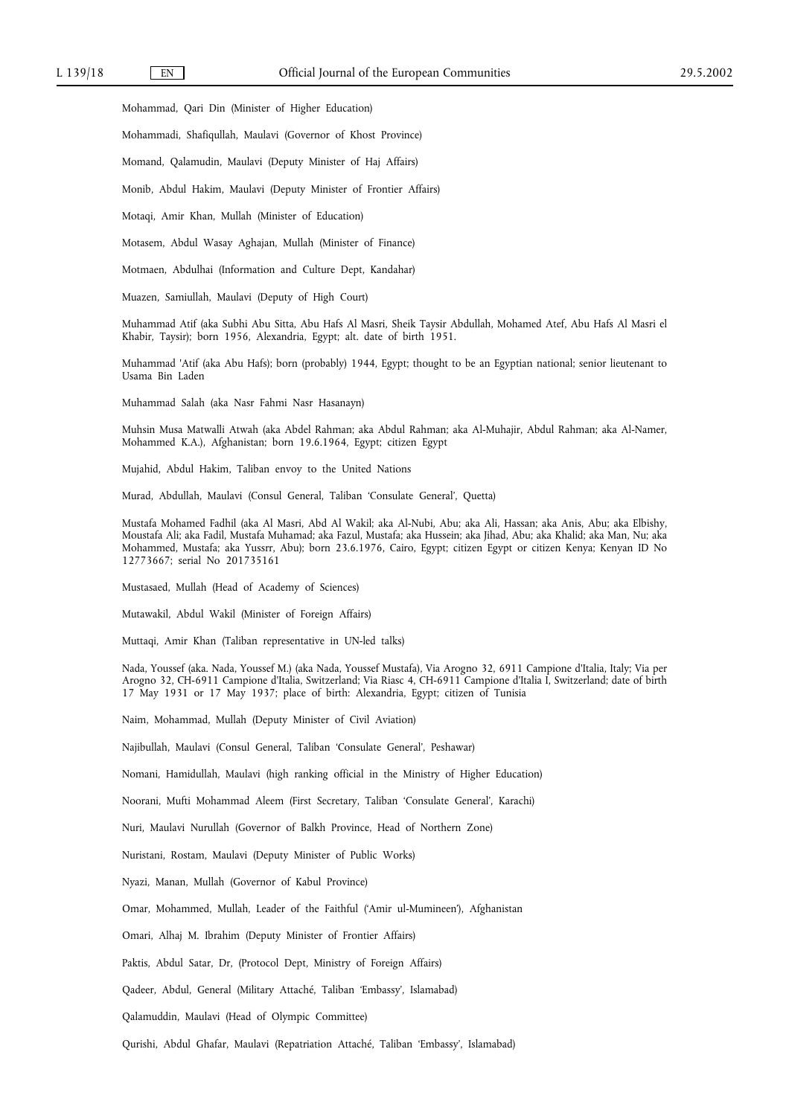Mohammad, Qari Din (Minister of Higher Education)

Mohammadi, Shafiqullah, Maulavi (Governor of Khost Province)

Momand, Qalamudin, Maulavi (Deputy Minister of Haj Affairs)

Monib, Abdul Hakim, Maulavi (Deputy Minister of Frontier Affairs)

Motaqi, Amir Khan, Mullah (Minister of Education)

Motasem, Abdul Wasay Aghajan, Mullah (Minister of Finance)

Motmaen, Abdulhai (Information and Culture Dept, Kandahar)

Muazen, Samiullah, Maulavi (Deputy of High Court)

Muhammad Atif (aka Subhi Abu Sitta, Abu Hafs Al Masri, Sheik Taysir Abdullah, Mohamed Atef, Abu Hafs Al Masri el Khabir, Taysir); born 1956, Alexandria, Egypt; alt. date of birth 1951.

Muhammad 'Atif (aka Abu Hafs); born (probably) 1944, Egypt; thought to be an Egyptian national; senior lieutenant to Usama Bin Laden

Muhammad Salah (aka Nasr Fahmi Nasr Hasanayn)

Muhsin Musa Matwalli Atwah (aka Abdel Rahman; aka Abdul Rahman; aka Al-Muhajir, Abdul Rahman; aka Al-Namer, Mohammed K.A.), Afghanistan; born 19.6.1964, Egypt; citizen Egypt

Mujahid, Abdul Hakim, Taliban envoy to the United Nations

Murad, Abdullah, Maulavi (Consul General, Taliban 'Consulate General', Quetta)

Mustafa Mohamed Fadhil (aka Al Masri, Abd Al Wakil; aka Al-Nubi, Abu; aka Ali, Hassan; aka Anis, Abu; aka Elbishy, Moustafa Ali; aka Fadil, Mustafa Muhamad; aka Fazul, Mustafa; aka Hussein; aka Jihad, Abu; aka Khalid; aka Man, Nu; aka Mohammed, Mustafa; aka Yussrr, Abu); born 23.6.1976, Cairo, Egypt; citizen Egypt or citizen Kenya; Kenyan ID No 12773667; serial No 201735161

Mustasaed, Mullah (Head of Academy of Sciences)

Mutawakil, Abdul Wakil (Minister of Foreign Affairs)

Muttaqi, Amir Khan (Taliban representative in UN-led talks)

Nada, Youssef (aka. Nada, Youssef M.) (aka Nada, Youssef Mustafa), Via Arogno 32, 6911 Campione d'Italia, Italy; Via per Arogno 32, CH-6911 Campione d'Italia, Switzerland; Via Riasc 4, CH-6911 Campione d'Italia I, Switzerland; date of birth 17 May 1931 or 17 May 1937; place of birth: Alexandria, Egypt; citizen of Tunisia

Naim, Mohammad, Mullah (Deputy Minister of Civil Aviation)

Najibullah, Maulavi (Consul General, Taliban 'Consulate General', Peshawar)

Nomani, Hamidullah, Maulavi (high ranking official in the Ministry of Higher Education)

Noorani, Mufti Mohammad Aleem (First Secretary, Taliban 'Consulate General', Karachi)

Nuri, Maulavi Nurullah (Governor of Balkh Province, Head of Northern Zone)

Nuristani, Rostam, Maulavi (Deputy Minister of Public Works)

Nyazi, Manan, Mullah (Governor of Kabul Province)

Omar, Mohammed, Mullah, Leader of the Faithful ('Amir ul-Mumineen'), Afghanistan

Omari, Alhaj M. Ibrahim (Deputy Minister of Frontier Affairs)

Paktis, Abdul Satar, Dr, (Protocol Dept, Ministry of Foreign Affairs)

Qadeer, Abdul, General (Military Attaché, Taliban 'Embassy', Islamabad)

Qalamuddin, Maulavi (Head of Olympic Committee)

Qurishi, Abdul Ghafar, Maulavi (Repatriation Attaché, Taliban 'Embassy', Islamabad)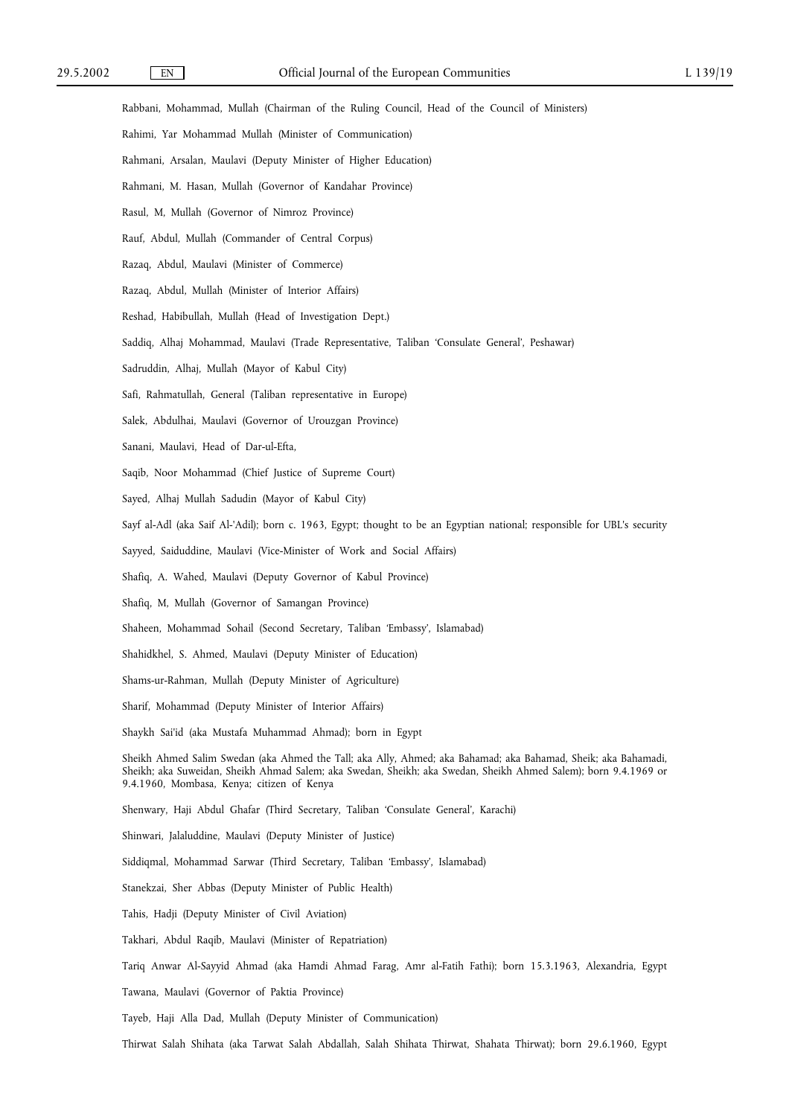Rabbani, Mohammad, Mullah (Chairman of the Ruling Council, Head of the Council of Ministers)

- Rahimi, Yar Mohammad Mullah (Minister of Communication)
- Rahmani, Arsalan, Maulavi (Deputy Minister of Higher Education)
- Rahmani, M. Hasan, Mullah (Governor of Kandahar Province)
- Rasul, M, Mullah (Governor of Nimroz Province)
- Rauf, Abdul, Mullah (Commander of Central Corpus)
- Razaq, Abdul, Maulavi (Minister of Commerce)
- Razaq, Abdul, Mullah (Minister of Interior Affairs)
- Reshad, Habibullah, Mullah (Head of Investigation Dept.)
- Saddiq, Alhaj Mohammad, Maulavi (Trade Representative, Taliban 'Consulate General', Peshawar)
- Sadruddin, Alhaj, Mullah (Mayor of Kabul City)
- Safi, Rahmatullah, General (Taliban representative in Europe)
- Salek, Abdulhai, Maulavi (Governor of Urouzgan Province)
- Sanani, Maulavi, Head of Dar-ul-Efta,
- Saqib, Noor Mohammad (Chief Justice of Supreme Court)
- Sayed, Alhaj Mullah Sadudin (Mayor of Kabul City)
- Sayf al-Adl (aka Saif Al-'Adil); born c. 1963, Egypt; thought to be an Egyptian national; responsible for UBL's security
- Sayyed, Saiduddine, Maulavi (Vice-Minister of Work and Social Affairs)
- Shafiq, A. Wahed, Maulavi (Deputy Governor of Kabul Province)
- Shafiq, M, Mullah (Governor of Samangan Province)
- Shaheen, Mohammad Sohail (Second Secretary, Taliban 'Embassy', Islamabad)
- Shahidkhel, S. Ahmed, Maulavi (Deputy Minister of Education)
- Shams-ur-Rahman, Mullah (Deputy Minister of Agriculture)
- Sharif, Mohammad (Deputy Minister of Interior Affairs)
- Shaykh Sai'id (aka Mustafa Muhammad Ahmad); born in Egypt

Sheikh Ahmed Salim Swedan (aka Ahmed the Tall; aka Ally, Ahmed; aka Bahamad; aka Bahamad, Sheik; aka Bahamadi, Sheikh; aka Suweidan, Sheikh Ahmad Salem; aka Swedan, Sheikh; aka Swedan, Sheikh Ahmed Salem); born 9.4.1969 or 9.4.1960, Mombasa, Kenya; citizen of Kenya

Shenwary, Haji Abdul Ghafar (Third Secretary, Taliban 'Consulate General', Karachi)

- Shinwari, Jalaluddine, Maulavi (Deputy Minister of Justice)
- Siddiqmal, Mohammad Sarwar (Third Secretary, Taliban 'Embassy', Islamabad)
- Stanekzai, Sher Abbas (Deputy Minister of Public Health)
- Tahis, Hadji (Deputy Minister of Civil Aviation)
- Takhari, Abdul Raqib, Maulavi (Minister of Repatriation)

Tariq Anwar Al-Sayyid Ahmad (aka Hamdi Ahmad Farag, Amr al-Fatih Fathi); born 15.3.1963, Alexandria, Egypt

- Tawana, Maulavi (Governor of Paktia Province)
- Tayeb, Haji Alla Dad, Mullah (Deputy Minister of Communication)
- Thirwat Salah Shihata (aka Tarwat Salah Abdallah, Salah Shihata Thirwat, Shahata Thirwat); born 29.6.1960, Egypt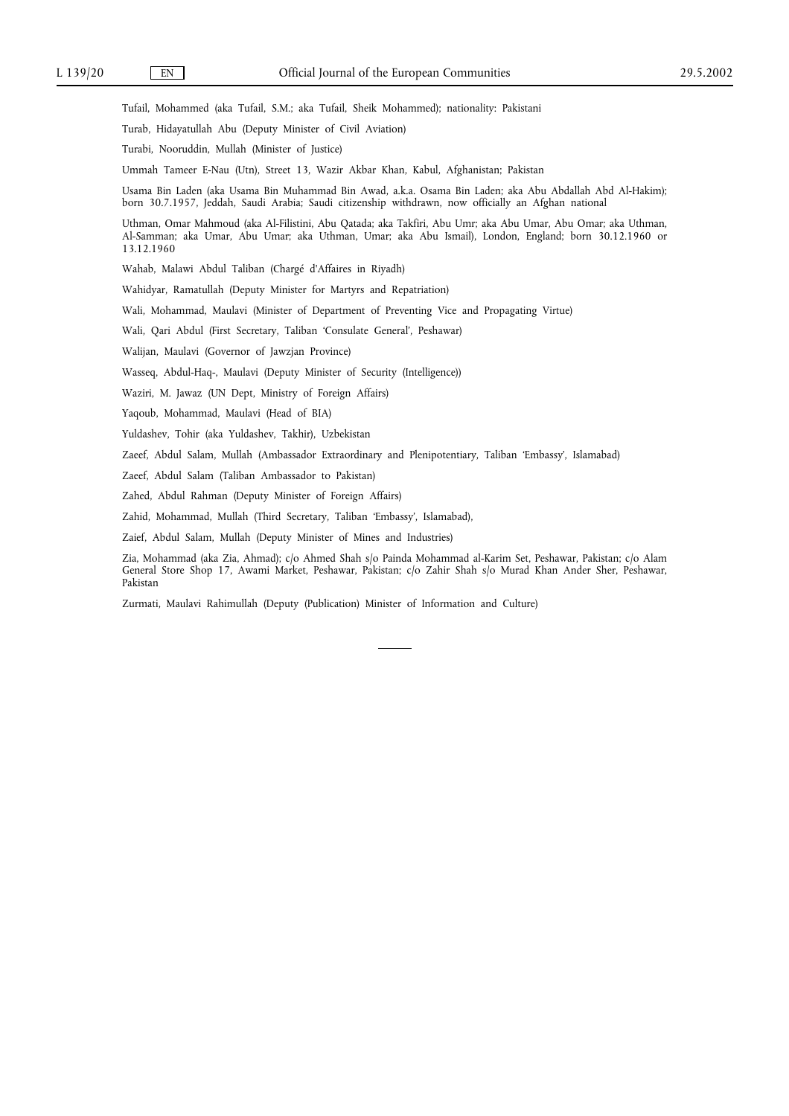Tufail, Mohammed (aka Tufail, S.M.; aka Tufail, Sheik Mohammed); nationality: Pakistani

Turab, Hidayatullah Abu (Deputy Minister of Civil Aviation)

Turabi, Nooruddin, Mullah (Minister of Justice)

Ummah Tameer E-Nau (Utn), Street 13, Wazir Akbar Khan, Kabul, Afghanistan; Pakistan

Usama Bin Laden (aka Usama Bin Muhammad Bin Awad, a.k.a. Osama Bin Laden; aka Abu Abdallah Abd Al-Hakim); born 30.7.1957, Jeddah, Saudi Arabia; Saudi citizenship withdrawn, now officially an Afghan national

Uthman, Omar Mahmoud (aka Al-Filistini, Abu Qatada; aka Takfiri, Abu Umr; aka Abu Umar, Abu Omar; aka Uthman, Al-Samman; aka Umar, Abu Umar; aka Uthman, Umar; aka Abu Ismail), London, England; born 30.12.1960 or 13.12.1960

Wahab, Malawi Abdul Taliban (Chargé d'Affaires in Riyadh)

Wahidyar, Ramatullah (Deputy Minister for Martyrs and Repatriation)

Wali, Mohammad, Maulavi (Minister of Department of Preventing Vice and Propagating Virtue)

Wali, Qari Abdul (First Secretary, Taliban 'Consulate General', Peshawar)

Walijan, Maulavi (Governor of Jawzjan Province)

Wasseq, Abdul-Haq-, Maulavi (Deputy Minister of Security (Intelligence))

Waziri, M. Jawaz (UN Dept, Ministry of Foreign Affairs)

Yaqoub, Mohammad, Maulavi (Head of BIA)

Yuldashev, Tohir (aka Yuldashev, Takhir), Uzbekistan

Zaeef, Abdul Salam, Mullah (Ambassador Extraordinary and Plenipotentiary, Taliban 'Embassy', Islamabad)

Zaeef, Abdul Salam (Taliban Ambassador to Pakistan)

Zahed, Abdul Rahman (Deputy Minister of Foreign Affairs)

Zahid, Mohammad, Mullah (Third Secretary, Taliban 'Embassy', Islamabad),

Zaief, Abdul Salam, Mullah (Deputy Minister of Mines and Industries)

Zia, Mohammad (aka Zia, Ahmad); c/o Ahmed Shah s/o Painda Mohammad al-Karim Set, Peshawar, Pakistan; c/o Alam General Store Shop 17, Awami Market, Peshawar, Pakistan; c/o Zahir Shah s/o Murad Khan Ander Sher, Peshawar, Pakistan

Zurmati, Maulavi Rahimullah (Deputy (Publication) Minister of Information and Culture)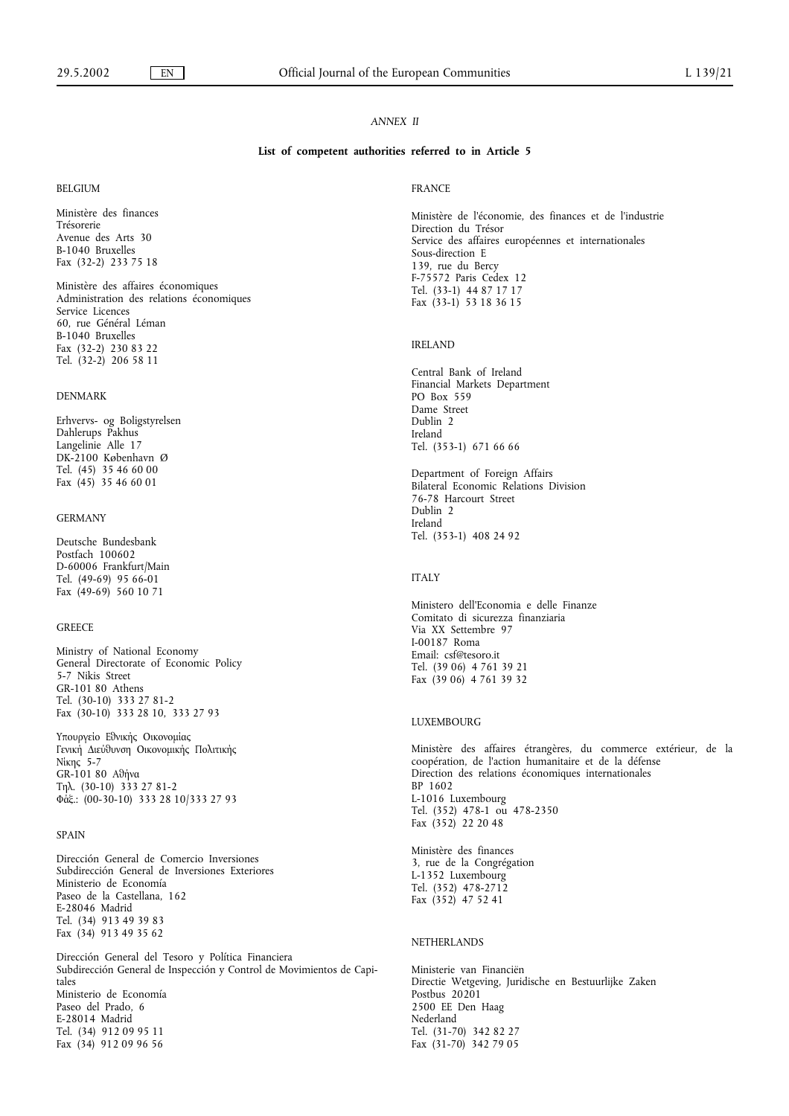# *ANNEX II*

### **List of competent authorities referred to in Article 5**

BELGIUM

Ministère des finances Trésorerie Avenue des Arts 30 B-1040 Bruxelles Fax (32-2) 233 75 18

Ministère des affaires économiques Administration des relations économiques Service Licences 60, rue Général Léman B-1040 Bruxelles Fax (32-2) 230 83 22 Tel. (32-2) 206 58 11

#### DENMARK

Erhvervs- og Boligstyrelsen Dahlerups Pakhus Langelinie Alle 17 DK-2100 København Ø Tel. (45) 35 46 60 00 Fax (45) 35 46 60 01

### GERMANY

Deutsche Bundesbank Postfach 100602 D-60006 Frankfurt/Main Tel. (49-69) 95 66-01 Fax (49-69) 560 10 71

#### GREECE

Ministry of National Economy General Directorate of Economic Policy 5-7 Nikis Street GR-101 80 Athens Tel. (30-10) 333 27 81-2 Fax (30-10) 333 28 10, 333 27 93

Υπουργείο Εθνικής Οικονομίας Γενική ∆ιεύθυνση Οικονοµικής Πολιτικής Νίκης 5-7 GR-101 80 Αθήνα Tηλ. (30-10) 333 27 81-2 Φάξ.: (00-30-10) 333 28 10/333 27 93

# SPAIN

Dirección General de Comercio Inversiones Subdirección General de Inversiones Exteriores Ministerio de Economía Paseo de la Castellana, 162 E-28046 Madrid Tel. (34) 913 49 39 83 Fax (34) 913 49 35 62

Dirección General del Tesoro y Política Financiera Subdirección General de Inspección y Control de Movimientos de Capitales Ministerio de Economía Paseo del Prado, 6 E-28014 Madrid Tel. (34) 912 09 95 11 Fax (34) 912 09 96 56

#### FRANCE

Ministère de l'économie, des finances et de l'industrie Direction du Trésor Service des affaires européennes et internationales Sous-direction E 139, rue du Bercy F-75572 Paris Cedex 12 Tel. (33-1) 44 87 17 17 Fax (33-1) 53 18 36 15

### IRELAND

Central Bank of Ireland Financial Markets Department PO Box 559 Dame Street Dublin 2 Ireland Tel. (353-1) 671 66 66

Department of Foreign Affairs Bilateral Economic Relations Division 76-78 Harcourt Street Dublin 2 Ireland Tel. (353-1) 408 24 92

## ITALY

Ministero dell'Economia e delle Finanze Comitato di sicurezza finanziaria Via XX Settembre 97 I-00187 Roma Email: csf@tesoro.it Tel. (39 06) 4 761 39 21 Fax (39 06) 4 761 39 32

### LUXEMBOURG

Ministère des affaires étrangères, du commerce extérieur, de la coopération, de l'action humanitaire et de la défense Direction des relations économiques internationales BP 1602 L-1016 Luxembourg Tel. (352) 478-1 ou 478-2350 Fax (352) 22 20 48

Ministère des finances 3, rue de la Congrégation L-1352 Luxembourg Tel. (352) 478-2712 Fax (352) 47 52 41

### NETHERLANDS

Ministerie van Financiën Directie Wetgeving, Juridische en Bestuurlijke Zaken Postbus 20201 2500 EE Den Haag Nederland Tel. (31-70) 342 82 27 Fax (31-70) 342 79 05